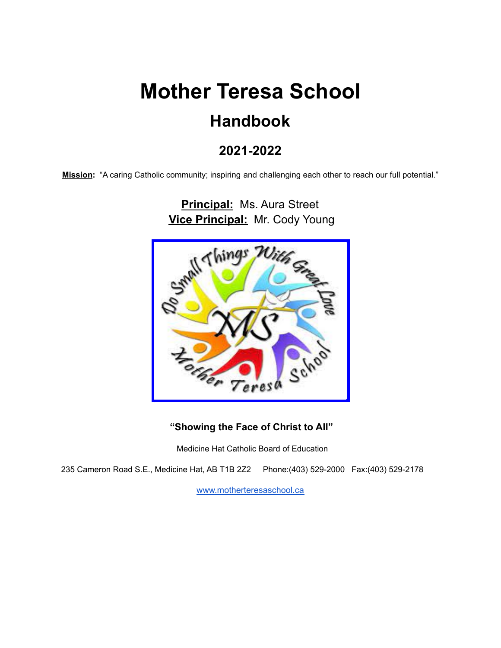# **Mother Teresa School Handbook**

# **2021-2022**

**Mission:** "A caring Catholic community; inspiring and challenging each other to reach our full potential."

**Principal:** Ms. Aura Street **Vice Principal:** Mr. Cody Young Things<sub>7</sub>

#### **"Showing the Face of Christ to All"**

Medicine Hat Catholic Board of Education

235 Cameron Road S.E., Medicine Hat, AB T1B 2Z2 Phone:(403) 529-2000 Fax:(403) 529-2178

[www.motherteresaschool.ca](http://www.motherteresaschool.ca/)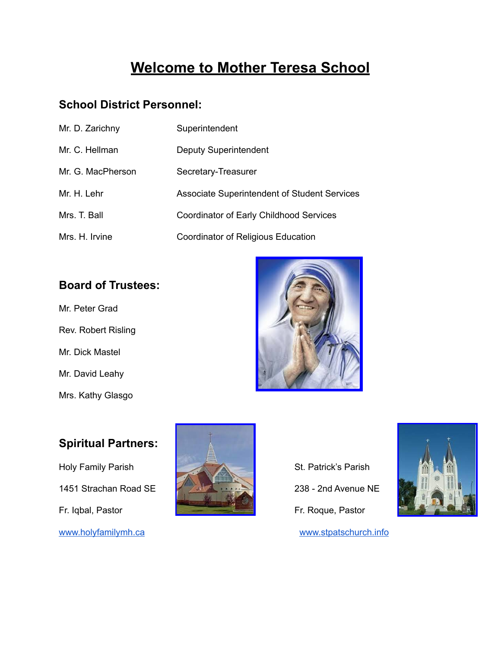# **Welcome to Mother Teresa School**

# **School District Personnel:**

| Mr. D. Zarichny   | Superintendent                               |
|-------------------|----------------------------------------------|
| Mr. C. Hellman    | <b>Deputy Superintendent</b>                 |
| Mr. G. MacPherson | Secretary-Treasurer                          |
| Mr. H. Lehr       | Associate Superintendent of Student Services |
| Mrs. T. Ball      | Coordinator of Early Childhood Services      |
| Mrs. H. Irvine    | Coordinator of Religious Education           |

## **Board of Trustees:**

Mr. Peter Grad Rev. Robert Risling Mr. Dick Mastel Mr. David Leahy Mrs. Kathy Glasgo



# **Spiritual Partners:**

Holy Family Parish St. Patrick's Parish 1451 Strachan Road SE 228 - 200 Avenue NE Fr. Iqbal, Pastor **Fr. Roque, Pastor** Fr. Roque, Pastor





[www.holyfamilymh.ca](http://www.holyfamilymh.ca) [www.stpatschurch.info](http://www.stpatschurch.info)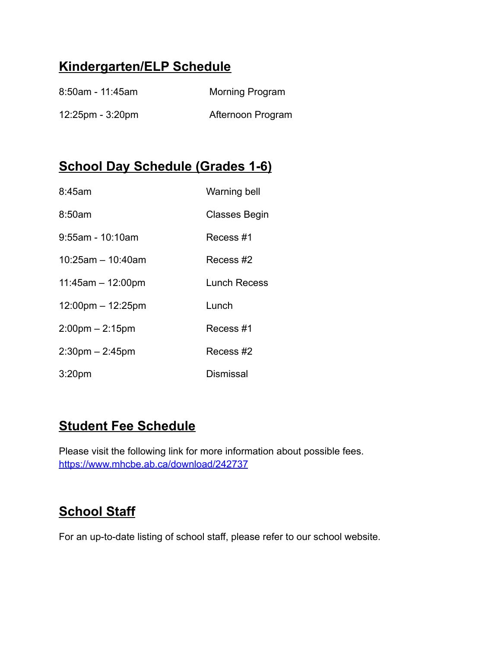# **Kindergarten/ELP Schedule**

| $8:50$ am - 11:45am                | <b>Morning Program</b> |
|------------------------------------|------------------------|
| $12:25 \text{pm} - 3:20 \text{pm}$ | Afternoon Program      |

# **School Day Schedule (Grades 1-6)**

| 8:45am                              | Warning bell        |
|-------------------------------------|---------------------|
| 8:50am                              | Classes Begin       |
| 9:55am - 10:10am                    | Recess #1           |
| $10:25am - 10:40am$                 | Recess #2           |
| $11:45am - 12:00pm$                 | <b>Lunch Recess</b> |
| $12:00 \text{pm} - 12:25 \text{pm}$ | Lunch               |
| $2:00 \text{pm} - 2:15 \text{pm}$   | Recess #1           |
| $2:30$ pm $- 2:45$ pm               | Recess #2           |
| 3:20 <sub>pm</sub>                  | Dismissal           |

# **Student Fee Schedule**

Please visit the following link for more information about possible fees. <https://www.mhcbe.ab.ca/download/242737>

# **School Staff**

For an up-to-date listing of school staff, please refer to our school website.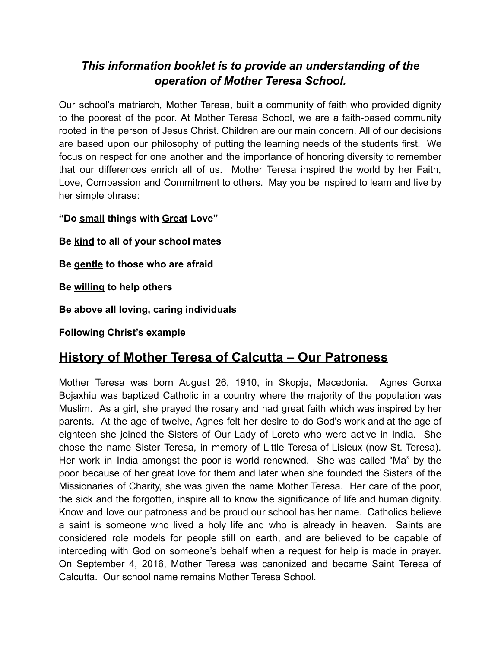# *This information booklet is to provide an understanding of the operation of Mother Teresa School.*

Our school's matriarch, Mother Teresa, built a community of faith who provided dignity to the poorest of the poor. At Mother Teresa School, we are a faith-based community rooted in the person of Jesus Christ. Children are our main concern. All of our decisions are based upon our philosophy of putting the learning needs of the students first. We focus on respect for one another and the importance of honoring diversity to remember that our differences enrich all of us. Mother Teresa inspired the world by her Faith, Love, Compassion and Commitment to others. May you be inspired to learn and live by her simple phrase:

**"Do small things with Great Love"**

**Be kind to all of your school mates**

**Be gentle to those who are afraid**

**Be willing to help others**

**Be above all loving, caring individuals**

**Following Christ's example**

# **History of Mother Teresa of Calcutta – Our Patroness**

Mother Teresa was born August 26, 1910, in Skopje, Macedonia. Agnes Gonxa Bojaxhiu was baptized Catholic in a country where the majority of the population was Muslim. As a girl, she prayed the rosary and had great faith which was inspired by her parents. At the age of twelve, Agnes felt her desire to do God's work and at the age of eighteen she joined the Sisters of Our Lady of Loreto who were active in India. She chose the name Sister Teresa, in memory of Little Teresa of Lisieux (now St. Teresa). Her work in India amongst the poor is world renowned. She was called "Ma" by the poor because of her great love for them and later when she founded the Sisters of the Missionaries of Charity, she was given the name Mother Teresa. Her care of the poor, the sick and the forgotten, inspire all to know the significance of life and human dignity. Know and love our patroness and be proud our school has her name. Catholics believe a saint is someone who lived a holy life and who is already in heaven. Saints are considered role models for people still on earth, and are believed to be capable of interceding with God on someone's behalf when a request for help is made in prayer. On September 4, 2016, Mother Teresa was canonized and became Saint Teresa of Calcutta. Our school name remains Mother Teresa School.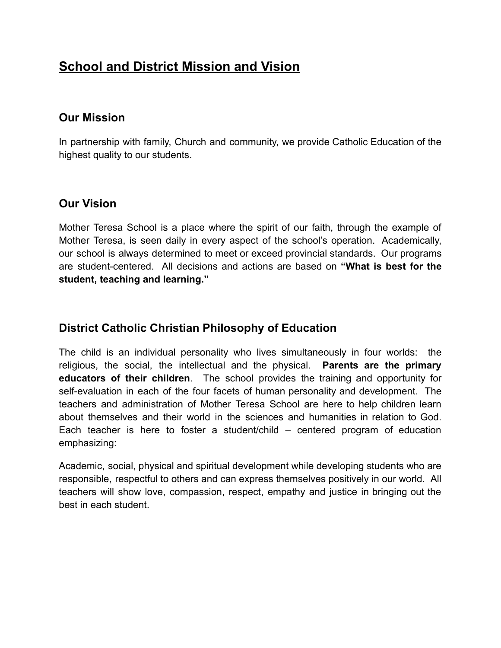# **School and District Mission and Vision**

### **Our Mission**

In partnership with family, Church and community, we provide Catholic Education of the highest quality to our students.

## **Our Vision**

Mother Teresa School is a place where the spirit of our faith, through the example of Mother Teresa, is seen daily in every aspect of the school's operation. Academically, our school is always determined to meet or exceed provincial standards. Our programs are student-centered. All decisions and actions are based on **"What is best for the student, teaching and learning."**

# **District Catholic Christian Philosophy of Education**

The child is an individual personality who lives simultaneously in four worlds: the religious, the social, the intellectual and the physical. **Parents are the primary educators of their children**. The school provides the training and opportunity for self-evaluation in each of the four facets of human personality and development. The teachers and administration of Mother Teresa School are here to help children learn about themselves and their world in the sciences and humanities in relation to God. Each teacher is here to foster a student/child – centered program of education emphasizing:

Academic, social, physical and spiritual development while developing students who are responsible, respectful to others and can express themselves positively in our world. All teachers will show love, compassion, respect, empathy and justice in bringing out the best in each student.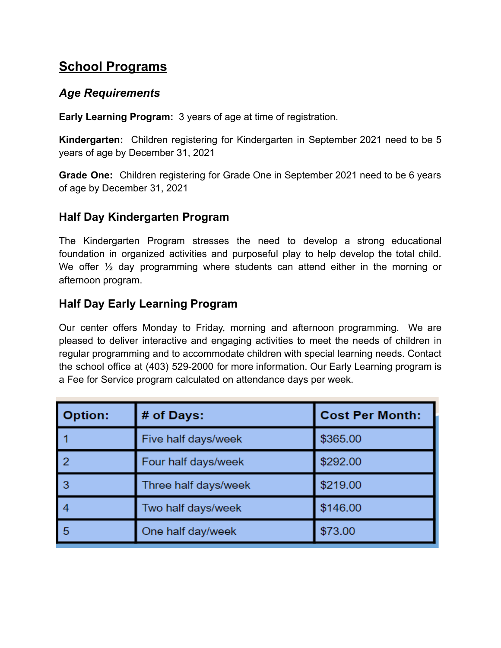# **School Programs**

### *Age Requirements*

**Early Learning Program:** 3 years of age at time of registration.

**Kindergarten:** Children registering for Kindergarten in September 2021 need to be 5 years of age by December 31, 2021

**Grade One:** Children registering for Grade One in September 2021 need to be 6 years of age by December 31, 2021

# **Half Day Kindergarten Program**

The Kindergarten Program stresses the need to develop a strong educational foundation in organized activities and purposeful play to help develop the total child. We offer  $\frac{1}{2}$  day programming where students can attend either in the morning or afternoon program.

# **Half Day Early Learning Program**

Our center offers Monday to Friday, morning and afternoon programming. We are pleased to deliver interactive and engaging activities to meet the needs of children in regular programming and to accommodate children with special learning needs. Contact the school office at (403) 529-2000 for more information. Our Early Learning program is a Fee for Service program calculated on attendance days per week.

| <b>Option:</b> | # of Days:           | <b>Cost Per Month:</b> |
|----------------|----------------------|------------------------|
|                | Five half days/week  | \$365.00               |
| 2              | Four half days/week  | \$292.00               |
| 3              | Three half days/week | \$219.00               |
|                | Two half days/week   | \$146.00               |
| 5              | One half day/week    | \$73.00                |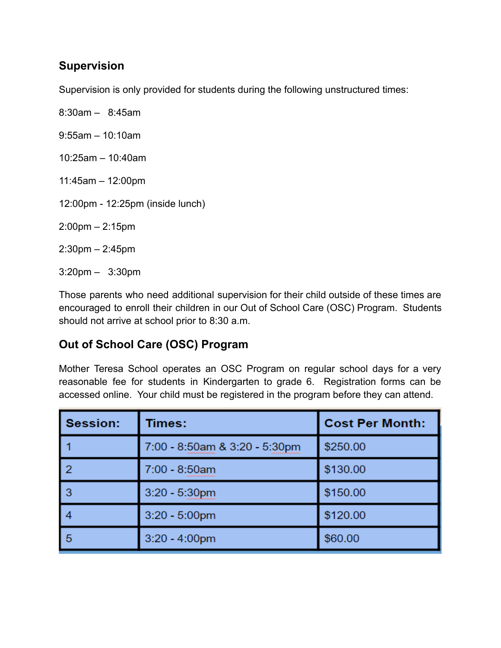### **Supervision**

Supervision is only provided for students during the following unstructured times:

- 8:30am 8:45am
- 9:55am 10:10am
- 10:25am 10:40am
- 11:45am 12:00pm
- 12:00pm 12:25pm (inside lunch)
- 2:00pm 2:15pm
- 2:30pm 2:45pm
- 3:20pm 3:30pm

Those parents who need additional supervision for their child outside of these times are encouraged to enroll their children in our Out of School Care (OSC) Program. Students should not arrive at school prior to 8:30 a.m.

# **Out of School Care (OSC) Program**

Mother Teresa School operates an OSC Program on regular school days for a very reasonable fee for students in Kindergarten to grade 6. Registration forms can be accessed online. Your child must be registered in the program before they can attend.

| <b>Session:</b> | Times:                        | <b>Cost Per Month:</b> |
|-----------------|-------------------------------|------------------------|
|                 | 7:00 - 8:50am & 3:20 - 5:30pm | \$250.00               |
| l 2             | 7:00 - 8:50am                 | \$130.00               |
| l 3             | $3:20 - 5:30$ pm              | \$150.00               |
|                 | $3:20 - 5:00$ pm              | \$120.00               |
| l 5             | $3:20 - 4:00$ pm              | \$60.00                |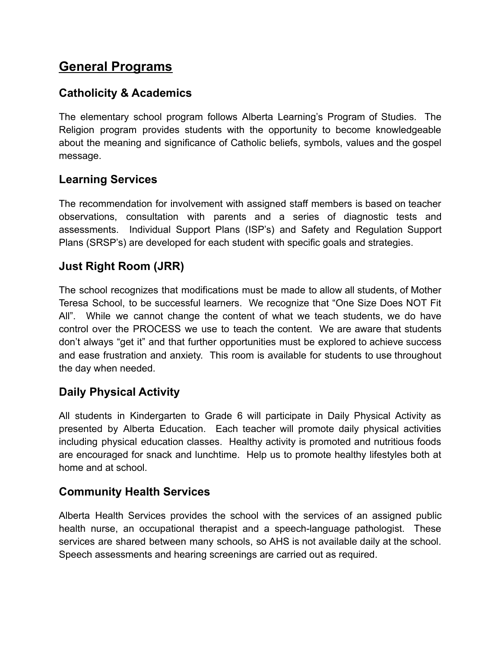# **General Programs**

# **Catholicity & Academics**

The elementary school program follows Alberta Learning's Program of Studies. The Religion program provides students with the opportunity to become knowledgeable about the meaning and significance of Catholic beliefs, symbols, values and the gospel message.

# **Learning Services**

The recommendation for involvement with assigned staff members is based on teacher observations, consultation with parents and a series of diagnostic tests and assessments. Individual Support Plans (ISP's) and Safety and Regulation Support Plans (SRSP's) are developed for each student with specific goals and strategies.

# **Just Right Room (JRR)**

The school recognizes that modifications must be made to allow all students, of Mother Teresa School, to be successful learners. We recognize that "One Size Does NOT Fit All". While we cannot change the content of what we teach students, we do have control over the PROCESS we use to teach the content. We are aware that students don't always "get it" and that further opportunities must be explored to achieve success and ease frustration and anxiety. This room is available for students to use throughout the day when needed.

### **Daily Physical Activity**

All students in Kindergarten to Grade 6 will participate in Daily Physical Activity as presented by Alberta Education. Each teacher will promote daily physical activities including physical education classes. Healthy activity is promoted and nutritious foods are encouraged for snack and lunchtime. Help us to promote healthy lifestyles both at home and at school.

# **Community Health Services**

Alberta Health Services provides the school with the services of an assigned public health nurse, an occupational therapist and a speech-language pathologist. These services are shared between many schools, so AHS is not available daily at the school. Speech assessments and hearing screenings are carried out as required.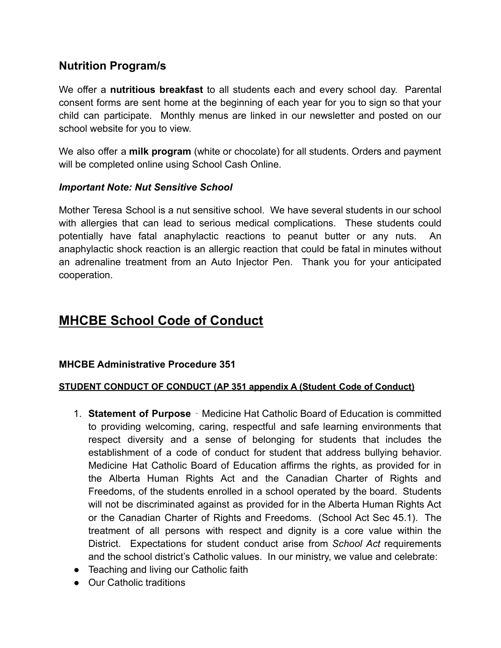# **Nutrition Program/s**

We offer a **nutritious breakfast** to all students each and every school day. Parental consent forms are sent home at the beginning of each year for you to sign so that your child can participate. Monthly menus are linked in our newsletter and posted on our school website for you to view.

We also offer a **milk program** (white or chocolate) for all students. Orders and payment will be completed online using School Cash Online.

#### *Important Note: Nut Sensitive School*

Mother Teresa School is a nut sensitive school. We have several students in our school with allergies that can lead to serious medical complications. These students could potentially have fatal anaphylactic reactions to peanut butter or any nuts. An anaphylactic shock reaction is an allergic reaction that could be fatal in minutes without an adrenaline treatment from an Auto Injector Pen. Thank you for your anticipated cooperation.

# **MHCBE School Code of Conduct**

#### **MHCBE Administrative Procedure 351**

#### **STUDENT CONDUCT OF CONDUCT (AP 351 appendix A (Student Code of Conduct)**

- 1. **Statement of Purpose** ‐ Medicine Hat Catholic Board of Education is committed to providing welcoming, caring, respectful and safe learning environments that respect diversity and a sense of belonging for students that includes the establishment of a code of conduct for student that address bullying behavior. Medicine Hat Catholic Board of Education affirms the rights, as provided for in the Alberta Human Rights Act and the Canadian Charter of Rights and Freedoms, of the students enrolled in a school operated by the board. Students will not be discriminated against as provided for in the Alberta Human Rights Act or the Canadian Charter of Rights and Freedoms. (School Act Sec 45.1). The treatment of all persons with respect and dignity is a core value within the District. Expectations for student conduct arise from *School Act* requirements and the school district's Catholic values. In our ministry, we value and celebrate:
- Teaching and living our Catholic faith
- Our Catholic traditions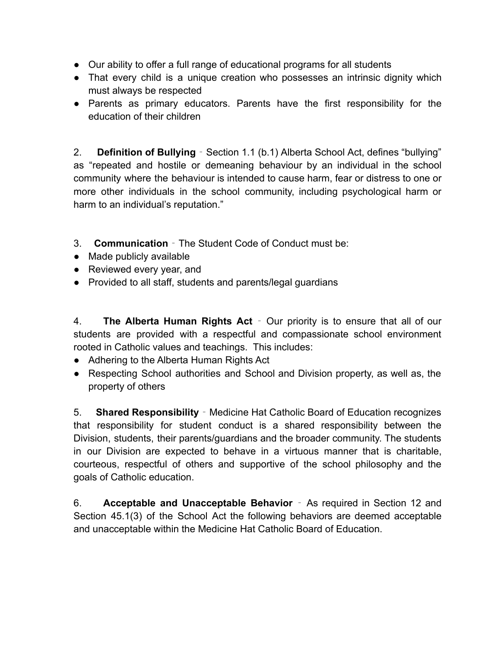- Our ability to offer a full range of educational programs for all students
- That every child is a unique creation who possesses an intrinsic dignity which must always be respected
- Parents as primary educators. Parents have the first responsibility for the education of their children

2. **Definition of Bullying** ‐ Section 1.1 (b.1) Alberta School Act, defines "bullying" as "repeated and hostile or demeaning behaviour by an individual in the school community where the behaviour is intended to cause harm, fear or distress to one or more other individuals in the school community, including psychological harm or harm to an individual's reputation."

- 3. **Communication** ‐ The Student Code of Conduct must be:
- Made publicly available
- Reviewed every year, and
- Provided to all staff, students and parents/legal guardians

4. **The Alberta Human Rights Act** ‐ Our priority is to ensure that all of our students are provided with a respectful and compassionate school environment rooted in Catholic values and teachings. This includes:

- Adhering to the Alberta Human Rights Act
- Respecting School authorities and School and Division property, as well as, the property of others

5. **Shared Responsibility** ‐ Medicine Hat Catholic Board of Education recognizes that responsibility for student conduct is a shared responsibility between the Division, students, their parents/guardians and the broader community. The students in our Division are expected to behave in a virtuous manner that is charitable, courteous, respectful of others and supportive of the school philosophy and the goals of Catholic education.

6. **Acceptable and Unacceptable Behavior** ‐ As required in Section 12 and Section 45.1(3) of the School Act the following behaviors are deemed acceptable and unacceptable within the Medicine Hat Catholic Board of Education.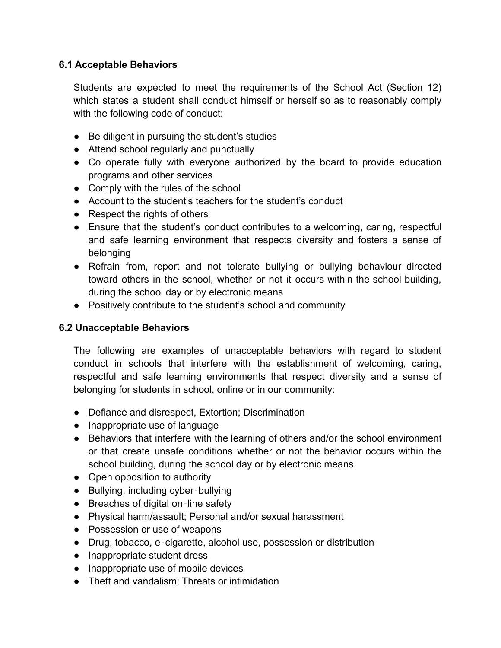#### **6.1 Acceptable Behaviors**

Students are expected to meet the requirements of the School Act (Section 12) which states a student shall conduct himself or herself so as to reasonably comply with the following code of conduct:

- Be diligent in pursuing the student's studies
- Attend school regularly and punctually
- Co-operate fully with everyone authorized by the board to provide education programs and other services
- Comply with the rules of the school
- Account to the student's teachers for the student's conduct
- Respect the rights of others
- Ensure that the student's conduct contributes to a welcoming, caring, respectful and safe learning environment that respects diversity and fosters a sense of belonging
- Refrain from, report and not tolerate bullying or bullying behaviour directed toward others in the school, whether or not it occurs within the school building, during the school day or by electronic means
- Positively contribute to the student's school and community

#### **6.2 Unacceptable Behaviors**

The following are examples of unacceptable behaviors with regard to student conduct in schools that interfere with the establishment of welcoming, caring, respectful and safe learning environments that respect diversity and a sense of belonging for students in school, online or in our community:

- Defiance and disrespect, Extortion; Discrimination
- Inappropriate use of language
- Behaviors that interfere with the learning of others and/or the school environment or that create unsafe conditions whether or not the behavior occurs within the school building, during the school day or by electronic means.
- Open opposition to authority
- Bullying, including cyber-bullying
- Breaches of digital on-line safety
- Physical harm/assault; Personal and/or sexual harassment
- Possession or use of weapons
- Drug, tobacco, e-cigarette, alcohol use, possession or distribution
- Inappropriate student dress
- Inappropriate use of mobile devices
- Theft and vandalism: Threats or intimidation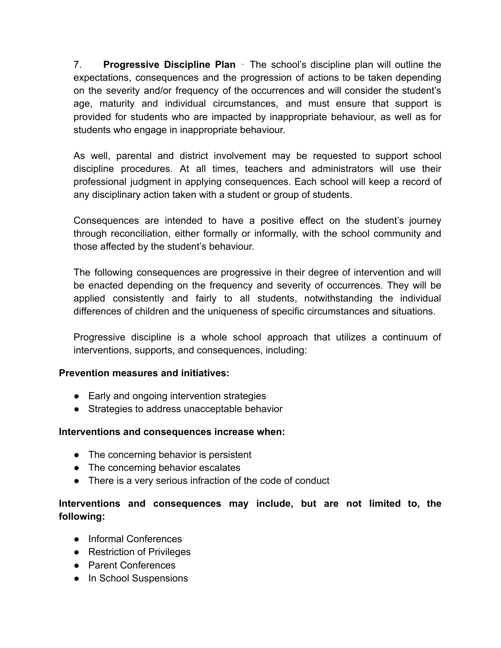7. **Progressive Discipline Plan** ‐ The school's discipline plan will outline the expectations, consequences and the progression of actions to be taken depending on the severity and/or frequency of the occurrences and will consider the student's age, maturity and individual circumstances, and must ensure that support is provided for students who are impacted by inappropriate behaviour, as well as for students who engage in inappropriate behaviour.

As well, parental and district involvement may be requested to support school discipline procedures. At all times, teachers and administrators will use their professional judgment in applying consequences. Each school will keep a record of any disciplinary action taken with a student or group of students.

Consequences are intended to have a positive effect on the student's journey through reconciliation, either formally or informally, with the school community and those affected by the student's behaviour.

The following consequences are progressive in their degree of intervention and will be enacted depending on the frequency and severity of occurrences. They will be applied consistently and fairly to all students, notwithstanding the individual differences of children and the uniqueness of specific circumstances and situations.

Progressive discipline is a whole school approach that utilizes a continuum of interventions, supports, and consequences, including:

#### **Prevention measures and initiatives:**

- Early and ongoing intervention strategies
- Strategies to address unacceptable behavior

#### **Interventions and consequences increase when:**

- The concerning behavior is persistent
- The concerning behavior escalates
- There is a very serious infraction of the code of conduct

#### **Interventions and consequences may include, but are not limited to, the following:**

- Informal Conferences
- Restriction of Privileges
- Parent Conferences
- In School Suspensions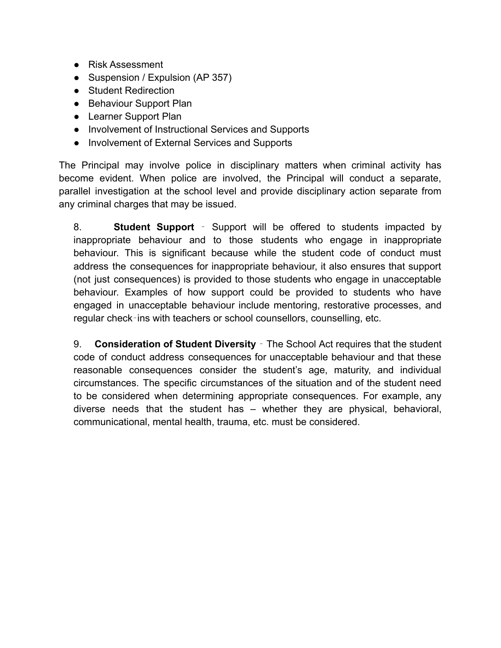- Risk Assessment
- Suspension / Expulsion (AP 357)
- Student Redirection
- Behaviour Support Plan
- Learner Support Plan
- Involvement of Instructional Services and Supports
- Involvement of External Services and Supports

The Principal may involve police in disciplinary matters when criminal activity has become evident. When police are involved, the Principal will conduct a separate, parallel investigation at the school level and provide disciplinary action separate from any criminal charges that may be issued.

8. **Student Support** ‐ Support will be offered to students impacted by inappropriate behaviour and to those students who engage in inappropriate behaviour. This is significant because while the student code of conduct must address the consequences for inappropriate behaviour, it also ensures that support (not just consequences) is provided to those students who engage in unacceptable behaviour. Examples of how support could be provided to students who have engaged in unacceptable behaviour include mentoring, restorative processes, and regular check‐ins with teachers or school counsellors, counselling, etc.

9. **Consideration of Student Diversity** ‐ The School Act requires that the student code of conduct address consequences for unacceptable behaviour and that these reasonable consequences consider the student's age, maturity, and individual circumstances. The specific circumstances of the situation and of the student need to be considered when determining appropriate consequences. For example, any diverse needs that the student has – whether they are physical, behavioral, communicational, mental health, trauma, etc. must be considered.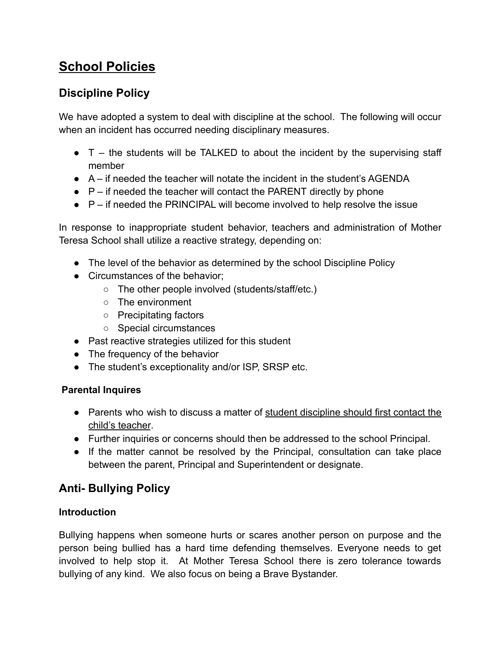# **School Policies**

# **Discipline Policy**

We have adopted a system to deal with discipline at the school. The following will occur when an incident has occurred needing disciplinary measures.

- $\bullet$  T the students will be TALKED to about the incident by the supervising staff member
- A if needed the teacher will notate the incident in the student's AGENDA
- $\bullet$   $\mathsf{P}-\mathsf{if}$  needed the teacher will contact the PARENT directly by phone
- $\bullet$   $\mathsf{P}-\mathsf{if}$  needed the PRINCIPAL will become involved to help resolve the issue

In response to inappropriate student behavior, teachers and administration of Mother Teresa School shall utilize a reactive strategy, depending on:

- The level of the behavior as determined by the school Discipline Policy
- Circumstances of the behavior:
	- The other people involved (students/staff/etc.)
	- The environment
	- Precipitating factors
	- Special circumstances
- Past reactive strategies utilized for this student
- The frequency of the behavior
- The student's exceptionality and/or ISP, SRSP etc.

#### **Parental Inquires**

- Parents who wish to discuss a matter of student discipline should first contact the child's teacher.
- Further inquiries or concerns should then be addressed to the school Principal.
- If the matter cannot be resolved by the Principal, consultation can take place between the parent, Principal and Superintendent or designate.

# **Anti- Bullying Policy**

#### **Introduction**

Bullying happens when someone hurts or scares another person on purpose and the person being bullied has a hard time defending themselves. Everyone needs to get involved to help stop it. At Mother Teresa School there is zero tolerance towards bullying of any kind. We also focus on being a Brave Bystander.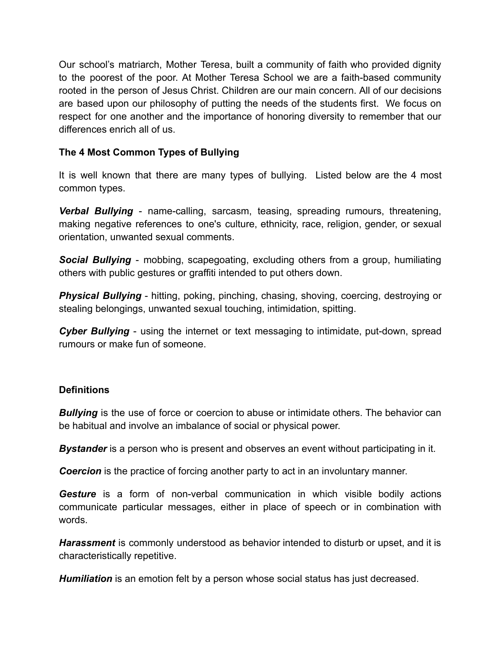Our school's matriarch, Mother Teresa, built a community of faith who provided dignity to the poorest of the poor. At Mother Teresa School we are a faith-based community rooted in the person of Jesus Christ. Children are our main concern. All of our decisions are based upon our philosophy of putting the needs of the students first. We focus on respect for one another and the importance of honoring diversity to remember that our differences enrich all of us.

#### **The 4 Most Common Types of Bullying**

It is well known that there are many types of bullying. Listed below are the 4 most common types.

*Verbal Bullying* - name-calling, sarcasm, teasing, spreading rumours, threatening, making negative references to one's culture, ethnicity, race, religion, gender, or sexual orientation, unwanted sexual comments.

*Social Bullying* - mobbing, scapegoating, excluding others from a group, humiliating others with public gestures or graffiti intended to put others down.

**Physical Bullying** - hitting, poking, pinching, chasing, shoving, coercing, destroying or stealing belongings, unwanted sexual touching, intimidation, spitting.

*Cyber Bullying* - using the internet or text messaging to intimidate, put-down, spread rumours or make fun of someone.

#### **Definitions**

**Bullying** is the use of force or coercion to abuse or intimidate others. The behavior can be habitual and involve an imbalance of social or physical power.

**Bystander** is a person who is present and observes an event without participating in it.

**Coercion** is the practice of forcing another party to act in an involuntary manner.

*Gesture* is a form of non-verbal communication in which visible bodily actions communicate particular messages, either in place of speech or in combination with words.

*Harassment* is commonly understood as behavior intended to disturb or upset, and it is characteristically repetitive.

*Humiliation* is an emotion felt by a person whose social status has just decreased.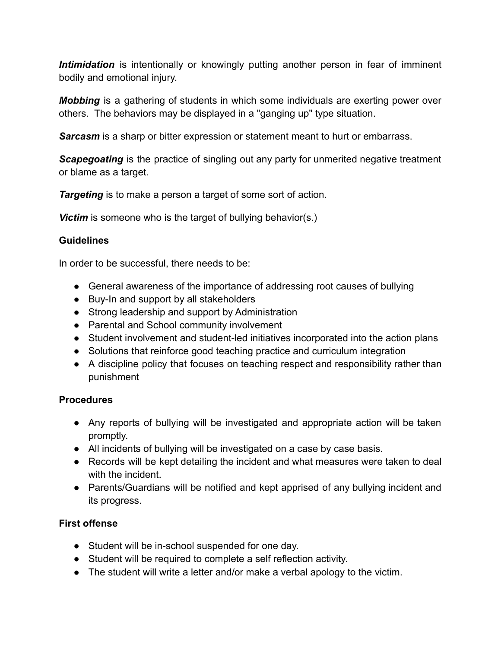*Intimidation* is intentionally or knowingly putting another person in fear of imminent bodily and emotional injury.

*Mobbing* is a gathering of students in which some individuals are exerting power over others. The behaviors may be displayed in a "ganging up" type situation.

*Sarcasm* is a sharp or bitter expression or statement meant to hurt or embarrass.

*Scapegoating* is the practice of singling out any party for unmerited negative treatment or blame as a target.

*Targeting* is to make a person a target of some sort of action.

**Victim** is someone who is the target of bullying behavior(s.)

#### **Guidelines**

In order to be successful, there needs to be:

- General awareness of the importance of addressing root causes of bullying
- Buy-In and support by all stakeholders
- Strong leadership and support by Administration
- Parental and School community involvement
- Student involvement and student-led initiatives incorporated into the action plans
- Solutions that reinforce good teaching practice and curriculum integration
- A discipline policy that focuses on teaching respect and responsibility rather than punishment

#### **Procedures**

- Any reports of bullying will be investigated and appropriate action will be taken promptly.
- All incidents of bullying will be investigated on a case by case basis.
- Records will be kept detailing the incident and what measures were taken to deal with the incident.
- Parents/Guardians will be notified and kept apprised of any bullying incident and its progress.

#### **First offense**

- Student will be in-school suspended for one day.
- Student will be required to complete a self reflection activity.
- The student will write a letter and/or make a verbal apology to the victim.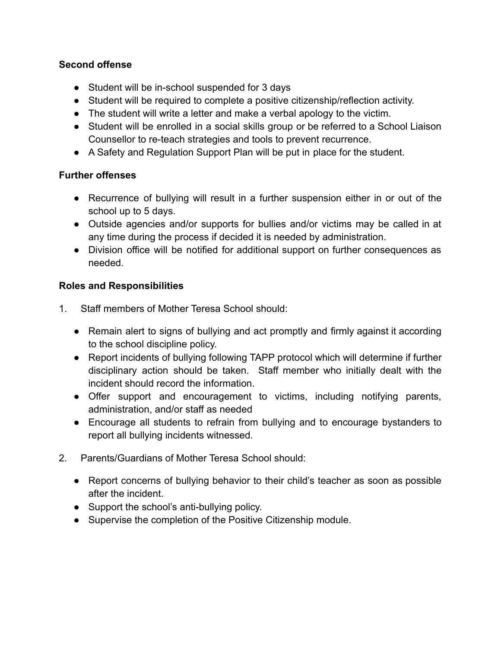#### **Second offense**

- Student will be in-school suspended for 3 days
- Student will be required to complete a positive citizenship/reflection activity.
- The student will write a letter and make a verbal apology to the victim.
- Student will be enrolled in a social skills group or be referred to a School Liaison Counsellor to re-teach strategies and tools to prevent recurrence.
- A Safety and Regulation Support Plan will be put in place for the student.

#### **Further offenses**

- Recurrence of bullying will result in a further suspension either in or out of the school up to 5 days.
- Outside agencies and/or supports for bullies and/or victims may be called in at any time during the process if decided it is needed by administration.
- Division office will be notified for additional support on further consequences as needed.

#### **Roles and Responsibilities**

- 1. Staff members of Mother Teresa School should:
	- Remain alert to signs of bullying and act promptly and firmly against it according to the school discipline policy.
	- Report incidents of bullying following TAPP protocol which will determine if further disciplinary action should be taken. Staff member who initially dealt with the incident should record the information.
	- Offer support and encouragement to victims, including notifying parents, administration, and/or staff as needed
	- Encourage all students to refrain from bullying and to encourage bystanders to report all bullying incidents witnessed.
- 2. Parents/Guardians of Mother Teresa School should:
	- Report concerns of bullying behavior to their child's teacher as soon as possible after the incident.
	- Support the school's anti-bullying policy.
	- Supervise the completion of the Positive Citizenship module.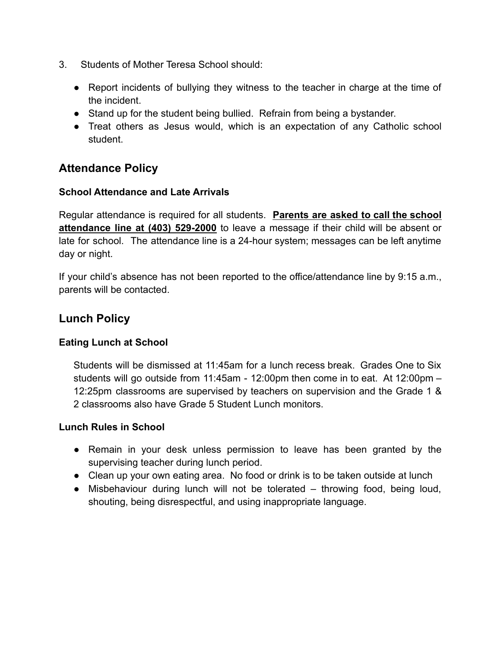- 3. Students of Mother Teresa School should:
	- Report incidents of bullying they witness to the teacher in charge at the time of the incident.
	- Stand up for the student being bullied. Refrain from being a bystander.
	- Treat others as Jesus would, which is an expectation of any Catholic school student.

## **Attendance Policy**

#### **School Attendance and Late Arrivals**

Regular attendance is required for all students. **Parents are asked to call the school attendance line at (403) 529-2000** to leave a message if their child will be absent or late for school. The attendance line is a 24-hour system; messages can be left anytime day or night.

If your child's absence has not been reported to the office/attendance line by 9:15 a.m., parents will be contacted.

### **Lunch Policy**

#### **Eating Lunch at School**

Students will be dismissed at 11:45am for a lunch recess break. Grades One to Six students will go outside from 11:45am - 12:00pm then come in to eat. At 12:00pm – 12:25pm classrooms are supervised by teachers on supervision and the Grade 1 & 2 classrooms also have Grade 5 Student Lunch monitors.

#### **Lunch Rules in School**

- Remain in your desk unless permission to leave has been granted by the supervising teacher during lunch period.
- Clean up your own eating area. No food or drink is to be taken outside at lunch
- Misbehaviour during lunch will not be tolerated throwing food, being loud, shouting, being disrespectful, and using inappropriate language.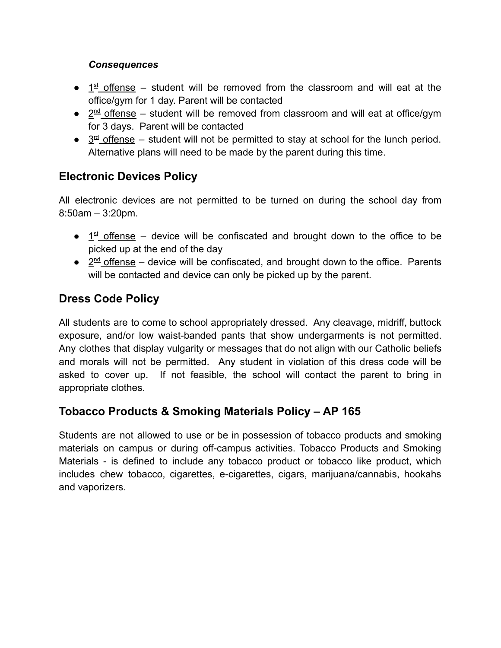#### *Consequences*

- $\bullet$   $1<sup>st</sup>$  offense student will be removed from the classroom and will eat at the office/gym for 1 day. Parent will be contacted
- $\bullet$   $2^{\text{nd}}$  offense student will be removed from classroom and will eat at office/gym for 3 days. Parent will be contacted
- $\bullet$  3<sup>rd</sup> offense student will not be permitted to stay at school for the lunch period. Alternative plans will need to be made by the parent during this time.

# **Electronic Devices Policy**

All electronic devices are not permitted to be turned on during the school day from 8:50am – 3:20pm.

- $\bullet$  1<sup>st</sup> offense device will be confiscated and brought down to the office to be picked up at the end of the day
- $\bullet$   $2^{\text{nd}}$  offense device will be confiscated, and brought down to the office. Parents will be contacted and device can only be picked up by the parent.

# **Dress Code Policy**

All students are to come to school appropriately dressed. Any cleavage, midriff, buttock exposure, and/or low waist-banded pants that show undergarments is not permitted. Any clothes that display vulgarity or messages that do not align with our Catholic beliefs and morals will not be permitted. Any student in violation of this dress code will be asked to cover up. If not feasible, the school will contact the parent to bring in appropriate clothes.

### **Tobacco Products & Smoking Materials Policy – AP 165**

Students are not allowed to use or be in possession of tobacco products and smoking materials on campus or during off-campus activities. Tobacco Products and Smoking Materials - is defined to include any tobacco product or tobacco like product, which includes chew tobacco, cigarettes, e-cigarettes, cigars, marijuana/cannabis, hookahs and vaporizers.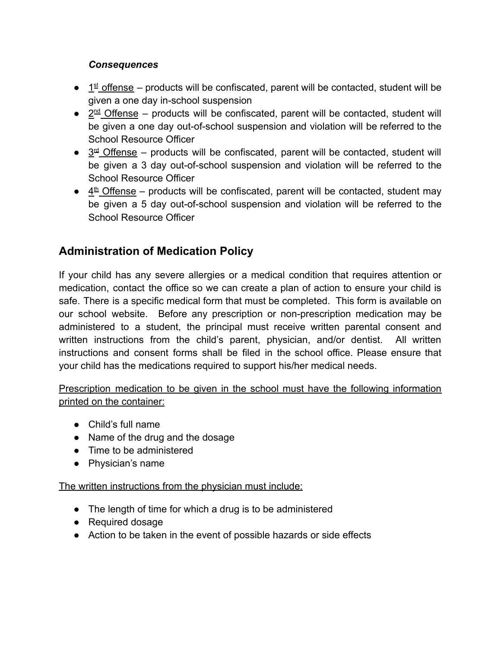#### *Consequences*

- $\bullet$  1<sup>st</sup> offense products will be confiscated, parent will be contacted, student will be given a one day in-school suspension
- $\bullet$   $2^{\text{nd}}$  Offense products will be confiscated, parent will be contacted, student will be given a one day out-of-school suspension and violation will be referred to the School Resource Officer
- $\bullet$   $3<sup>d</sup>$  Offense products will be confiscated, parent will be contacted, student will be given a 3 day out-of-school suspension and violation will be referred to the School Resource Officer
- $\bullet$   $4^{\text{th}}$  Offense products will be confiscated, parent will be contacted, student may be given a 5 day out-of-school suspension and violation will be referred to the School Resource Officer

# **Administration of Medication Policy**

If your child has any severe allergies or a medical condition that requires attention or medication, contact the office so we can create a plan of action to ensure your child is safe. There is a specific medical form that must be completed. This form is available on our school website. Before any prescription or non-prescription medication may be administered to a student, the principal must receive written parental consent and written instructions from the child's parent, physician, and/or dentist. All written instructions and consent forms shall be filed in the school office. Please ensure that your child has the medications required to support his/her medical needs.

Prescription medication to be given in the school must have the following information printed on the container:

- Child's full name
- Name of the drug and the dosage
- Time to be administered
- Physician's name

The written instructions from the physician must include:

- The length of time for which a drug is to be administered
- Required dosage
- Action to be taken in the event of possible hazards or side effects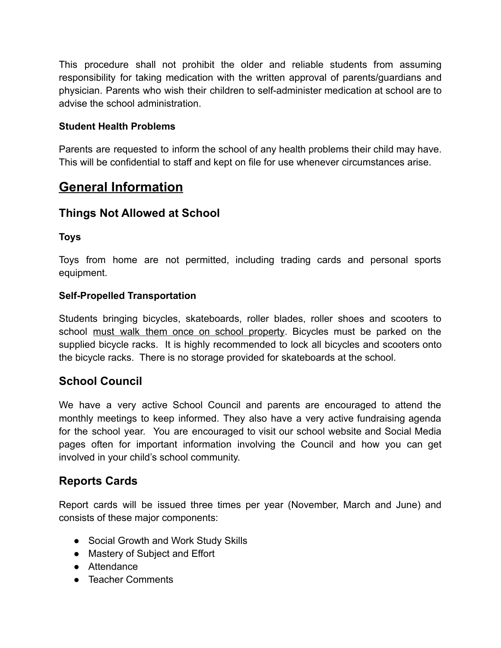This procedure shall not prohibit the older and reliable students from assuming responsibility for taking medication with the written approval of parents/guardians and physician. Parents who wish their children to self-administer medication at school are to advise the school administration.

#### **Student Health Problems**

Parents are requested to inform the school of any health problems their child may have. This will be confidential to staff and kept on file for use whenever circumstances arise.

# **General Information**

## **Things Not Allowed at School**

#### **Toys**

Toys from home are not permitted, including trading cards and personal sports equipment.

#### **Self-Propelled Transportation**

Students bringing bicycles, skateboards, roller blades, roller shoes and scooters to school must walk them once on school property. Bicycles must be parked on the supplied bicycle racks. It is highly recommended to lock all bicycles and scooters onto the bicycle racks. There is no storage provided for skateboards at the school.

### **School Council**

We have a very active School Council and parents are encouraged to attend the monthly meetings to keep informed. They also have a very active fundraising agenda for the school year. You are encouraged to visit our school website and Social Media pages often for important information involving the Council and how you can get involved in your child's school community.

### **Reports Cards**

Report cards will be issued three times per year (November, March and June) and consists of these major components:

- Social Growth and Work Study Skills
- Mastery of Subject and Effort
- Attendance
- Teacher Comments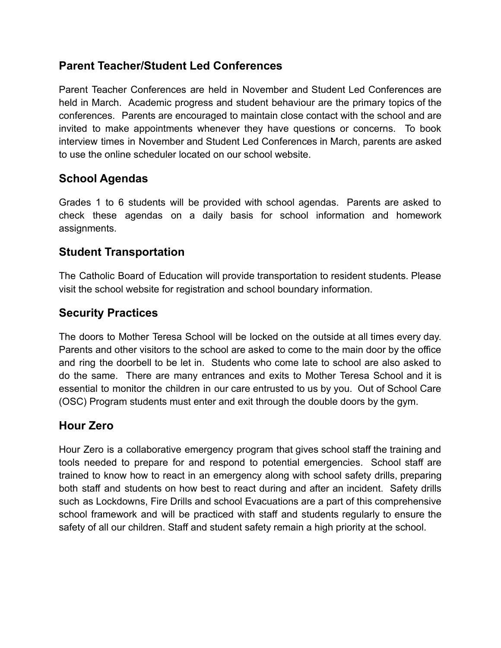# **Parent Teacher/Student Led Conferences**

Parent Teacher Conferences are held in November and Student Led Conferences are held in March. Academic progress and student behaviour are the primary topics of the conferences. Parents are encouraged to maintain close contact with the school and are invited to make appointments whenever they have questions or concerns. To book interview times in November and Student Led Conferences in March, parents are asked to use the online scheduler located on our school website.

# **School Agendas**

Grades 1 to 6 students will be provided with school agendas. Parents are asked to check these agendas on a daily basis for school information and homework assignments.

### **Student Transportation**

The Catholic Board of Education will provide transportation to resident students. Please visit the school website for registration and school boundary information.

### **Security Practices**

The doors to Mother Teresa School will be locked on the outside at all times every day. Parents and other visitors to the school are asked to come to the main door by the office and ring the doorbell to be let in. Students who come late to school are also asked to do the same. There are many entrances and exits to Mother Teresa School and it is essential to monitor the children in our care entrusted to us by you. Out of School Care (OSC) Program students must enter and exit through the double doors by the gym.

#### **Hour Zero**

Hour Zero is a collaborative emergency program that gives school staff the training and tools needed to prepare for and respond to potential emergencies. School staff are trained to know how to react in an emergency along with school safety drills, preparing both staff and students on how best to react during and after an incident. Safety drills such as Lockdowns, Fire Drills and school Evacuations are a part of this comprehensive school framework and will be practiced with staff and students regularly to ensure the safety of all our children. Staff and student safety remain a high priority at the school.